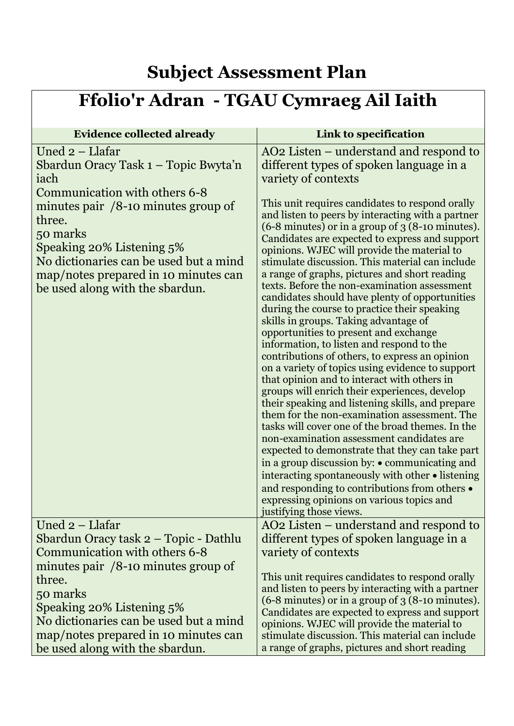## **Subject Assessment Plan**

## **Ffolio'r Adran - TGAU Cymraeg Ail Iaith**

| <b>Evidence collected already</b>                                                                                                                                                                                                                                                                                  | Link to specification                                                                                                                                                                                                                                                                                                                                                                                                                                                                                                                                                                                                                                                                                                                                                                                                                                                                                                                                                                                                                                                                                                                                                                                                                                                                                                                                                                                  |
|--------------------------------------------------------------------------------------------------------------------------------------------------------------------------------------------------------------------------------------------------------------------------------------------------------------------|--------------------------------------------------------------------------------------------------------------------------------------------------------------------------------------------------------------------------------------------------------------------------------------------------------------------------------------------------------------------------------------------------------------------------------------------------------------------------------------------------------------------------------------------------------------------------------------------------------------------------------------------------------------------------------------------------------------------------------------------------------------------------------------------------------------------------------------------------------------------------------------------------------------------------------------------------------------------------------------------------------------------------------------------------------------------------------------------------------------------------------------------------------------------------------------------------------------------------------------------------------------------------------------------------------------------------------------------------------------------------------------------------------|
| Uned 2 - Llafar<br>Sbardun Oracy Task 1 - Topic Bwyta'n<br>iach<br>Communication with others 6-8<br>minutes pair $/8$ -10 minutes group of<br>three.<br>50 marks<br>Speaking 20% Listening 5%<br>No dictionaries can be used but a mind<br>map/notes prepared in 10 minutes can<br>be used along with the sbardun. | AO <sub>2</sub> Listen – understand and respond to<br>different types of spoken language in a<br>variety of contexts<br>This unit requires candidates to respond orally<br>and listen to peers by interacting with a partner<br>$(6-8$ minutes) or in a group of $3$ (8-10 minutes).<br>Candidates are expected to express and support<br>opinions. WJEC will provide the material to<br>stimulate discussion. This material can include<br>a range of graphs, pictures and short reading<br>texts. Before the non-examination assessment<br>candidates should have plenty of opportunities<br>during the course to practice their speaking<br>skills in groups. Taking advantage of<br>opportunities to present and exchange<br>information, to listen and respond to the<br>contributions of others, to express an opinion<br>on a variety of topics using evidence to support<br>that opinion and to interact with others in<br>groups will enrich their experiences, develop<br>their speaking and listening skills, and prepare<br>them for the non-examination assessment. The<br>tasks will cover one of the broad themes. In the<br>non-examination assessment candidates are<br>expected to demonstrate that they can take part<br>in a group discussion by: $\bullet$ communicating and<br>interacting spontaneously with other • listening<br>and responding to contributions from others • |
|                                                                                                                                                                                                                                                                                                                    | expressing opinions on various topics and<br>justifying those views.                                                                                                                                                                                                                                                                                                                                                                                                                                                                                                                                                                                                                                                                                                                                                                                                                                                                                                                                                                                                                                                                                                                                                                                                                                                                                                                                   |
| Uned 2 – Llafar                                                                                                                                                                                                                                                                                                    | AO2 Listen – understand and respond to                                                                                                                                                                                                                                                                                                                                                                                                                                                                                                                                                                                                                                                                                                                                                                                                                                                                                                                                                                                                                                                                                                                                                                                                                                                                                                                                                                 |
| Sbardun Oracy task 2 – Topic - Dathlu                                                                                                                                                                                                                                                                              | different types of spoken language in a                                                                                                                                                                                                                                                                                                                                                                                                                                                                                                                                                                                                                                                                                                                                                                                                                                                                                                                                                                                                                                                                                                                                                                                                                                                                                                                                                                |
| Communication with others 6-8                                                                                                                                                                                                                                                                                      | variety of contexts                                                                                                                                                                                                                                                                                                                                                                                                                                                                                                                                                                                                                                                                                                                                                                                                                                                                                                                                                                                                                                                                                                                                                                                                                                                                                                                                                                                    |
| minutes pair $/8$ -10 minutes group of<br>three.                                                                                                                                                                                                                                                                   | This unit requires candidates to respond orally                                                                                                                                                                                                                                                                                                                                                                                                                                                                                                                                                                                                                                                                                                                                                                                                                                                                                                                                                                                                                                                                                                                                                                                                                                                                                                                                                        |
| 50 marks                                                                                                                                                                                                                                                                                                           | and listen to peers by interacting with a partner                                                                                                                                                                                                                                                                                                                                                                                                                                                                                                                                                                                                                                                                                                                                                                                                                                                                                                                                                                                                                                                                                                                                                                                                                                                                                                                                                      |
| Speaking 20% Listening 5%                                                                                                                                                                                                                                                                                          | $(6-8$ minutes) or in a group of $3(8-10$ minutes).                                                                                                                                                                                                                                                                                                                                                                                                                                                                                                                                                                                                                                                                                                                                                                                                                                                                                                                                                                                                                                                                                                                                                                                                                                                                                                                                                    |
| No dictionaries can be used but a mind                                                                                                                                                                                                                                                                             | Candidates are expected to express and support<br>opinions. WJEC will provide the material to                                                                                                                                                                                                                                                                                                                                                                                                                                                                                                                                                                                                                                                                                                                                                                                                                                                                                                                                                                                                                                                                                                                                                                                                                                                                                                          |
| map/notes prepared in 10 minutes can                                                                                                                                                                                                                                                                               | stimulate discussion. This material can include                                                                                                                                                                                                                                                                                                                                                                                                                                                                                                                                                                                                                                                                                                                                                                                                                                                                                                                                                                                                                                                                                                                                                                                                                                                                                                                                                        |
| be used along with the sbardun.                                                                                                                                                                                                                                                                                    | a range of graphs, pictures and short reading                                                                                                                                                                                                                                                                                                                                                                                                                                                                                                                                                                                                                                                                                                                                                                                                                                                                                                                                                                                                                                                                                                                                                                                                                                                                                                                                                          |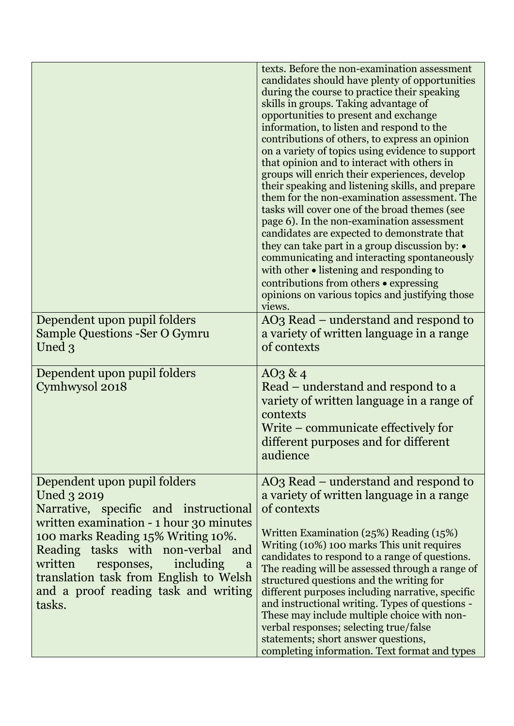|                                                                                                                                                                                                          | texts. Before the non-examination assessment<br>candidates should have plenty of opportunities<br>during the course to practice their speaking<br>skills in groups. Taking advantage of<br>opportunities to present and exchange<br>information, to listen and respond to the<br>contributions of others, to express an opinion<br>on a variety of topics using evidence to support<br>that opinion and to interact with others in<br>groups will enrich their experiences, develop<br>their speaking and listening skills, and prepare<br>them for the non-examination assessment. The<br>tasks will cover one of the broad themes (see<br>page 6). In the non-examination assessment<br>candidates are expected to demonstrate that<br>they can take part in a group discussion by: •<br>communicating and interacting spontaneously<br>with other $\bullet$ listening and responding to<br>contributions from others $\bullet$ expressing<br>opinions on various topics and justifying those<br>views. |
|----------------------------------------------------------------------------------------------------------------------------------------------------------------------------------------------------------|-----------------------------------------------------------------------------------------------------------------------------------------------------------------------------------------------------------------------------------------------------------------------------------------------------------------------------------------------------------------------------------------------------------------------------------------------------------------------------------------------------------------------------------------------------------------------------------------------------------------------------------------------------------------------------------------------------------------------------------------------------------------------------------------------------------------------------------------------------------------------------------------------------------------------------------------------------------------------------------------------------------|
| Dependent upon pupil folders                                                                                                                                                                             | AO3 Read – understand and respond to                                                                                                                                                                                                                                                                                                                                                                                                                                                                                                                                                                                                                                                                                                                                                                                                                                                                                                                                                                      |
| <b>Sample Questions -Ser O Gymru</b>                                                                                                                                                                     | a variety of written language in a range                                                                                                                                                                                                                                                                                                                                                                                                                                                                                                                                                                                                                                                                                                                                                                                                                                                                                                                                                                  |
| Uned 3                                                                                                                                                                                                   | of contexts                                                                                                                                                                                                                                                                                                                                                                                                                                                                                                                                                                                                                                                                                                                                                                                                                                                                                                                                                                                               |
| Dependent upon pupil folders<br>Cymhwysol 2018                                                                                                                                                           | $AO_3 \& 4$<br>Read – understand and respond to a<br>variety of written language in a range of<br>contexts<br>Write – communicate effectively for<br>different purposes and for different<br>audience                                                                                                                                                                                                                                                                                                                                                                                                                                                                                                                                                                                                                                                                                                                                                                                                     |
| Dependent upon pupil folders                                                                                                                                                                             | AO3 Read – understand and respond to                                                                                                                                                                                                                                                                                                                                                                                                                                                                                                                                                                                                                                                                                                                                                                                                                                                                                                                                                                      |
| Uned 3 2019                                                                                                                                                                                              | a variety of written language in a range                                                                                                                                                                                                                                                                                                                                                                                                                                                                                                                                                                                                                                                                                                                                                                                                                                                                                                                                                                  |
| Narrative, specific and instructional<br>written examination - 1 hour 30 minutes                                                                                                                         | of contexts                                                                                                                                                                                                                                                                                                                                                                                                                                                                                                                                                                                                                                                                                                                                                                                                                                                                                                                                                                                               |
| 100 marks Reading 15% Writing 10%.<br>Reading tasks with non-verbal and<br>written responses, including<br>a<br>translation task from English to Welsh<br>and a proof reading task and writing<br>tasks. | Written Examination $(25%)$ Reading $(15%)$<br>Writing (10%) 100 marks This unit requires<br>candidates to respond to a range of questions.<br>The reading will be assessed through a range of<br>structured questions and the writing for<br>different purposes including narrative, specific<br>and instructional writing. Types of questions -<br>These may include multiple choice with non-<br>verbal responses; selecting true/false<br>statements; short answer questions,<br>completing information. Text format and types                                                                                                                                                                                                                                                                                                                                                                                                                                                                        |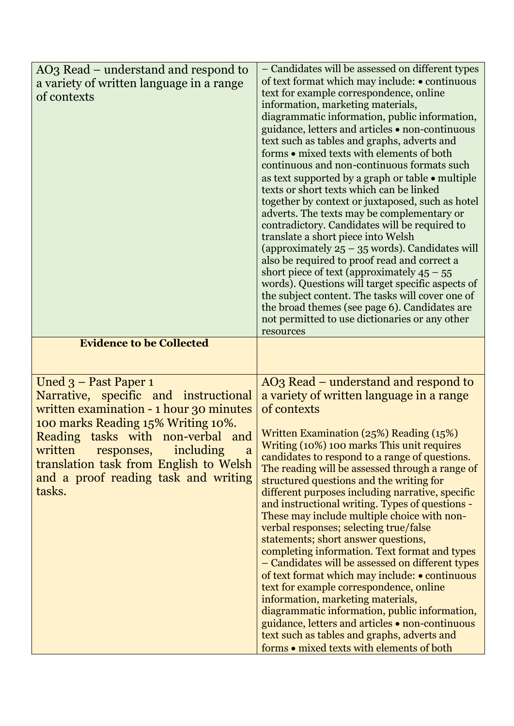| AO3 Read – understand and respond to<br>a variety of written language in a range<br>of contexts                                                                                                                                                                                                                             | - Candidates will be assessed on different types<br>of text format which may include: • continuous<br>text for example correspondence, online<br>information, marketing materials,<br>diagrammatic information, public information,<br>guidance, letters and articles • non-continuous<br>text such as tables and graphs, adverts and<br>forms • mixed texts with elements of both<br>continuous and non-continuous formats such<br>as text supported by a graph or table • multiple<br>texts or short texts which can be linked<br>together by context or juxtaposed, such as hotel<br>adverts. The texts may be complementary or<br>contradictory. Candidates will be required to<br>translate a short piece into Welsh<br>(approximately $25 - 35$ words). Candidates will<br>also be required to proof read and correct a<br>short piece of text (approximately $45 - 55$ )<br>words). Questions will target specific aspects of<br>the subject content. The tasks will cover one of<br>the broad themes (see page 6). Candidates are<br>not permitted to use dictionaries or any other<br>resources |
|-----------------------------------------------------------------------------------------------------------------------------------------------------------------------------------------------------------------------------------------------------------------------------------------------------------------------------|----------------------------------------------------------------------------------------------------------------------------------------------------------------------------------------------------------------------------------------------------------------------------------------------------------------------------------------------------------------------------------------------------------------------------------------------------------------------------------------------------------------------------------------------------------------------------------------------------------------------------------------------------------------------------------------------------------------------------------------------------------------------------------------------------------------------------------------------------------------------------------------------------------------------------------------------------------------------------------------------------------------------------------------------------------------------------------------------------------|
| <b>Evidence to be Collected</b>                                                                                                                                                                                                                                                                                             |                                                                                                                                                                                                                                                                                                                                                                                                                                                                                                                                                                                                                                                                                                                                                                                                                                                                                                                                                                                                                                                                                                          |
|                                                                                                                                                                                                                                                                                                                             |                                                                                                                                                                                                                                                                                                                                                                                                                                                                                                                                                                                                                                                                                                                                                                                                                                                                                                                                                                                                                                                                                                          |
| Uned 3 - Past Paper 1<br>Narrative, specific and instructional<br>written examination - 1 hour 30 minutes<br>100 marks Reading 15% Writing 10%.<br>Reading tasks with non-verbal and<br>written<br>including<br>responses,<br>a<br>translation task from English to Welsh<br>and a proof reading task and writing<br>tasks. | AO3 Read – understand and respond to<br>a variety of written language in a range<br>of contexts<br>Written Examination (25%) Reading (15%)<br>Writing (10%) 100 marks This unit requires<br>candidates to respond to a range of questions.<br>The reading will be assessed through a range of<br>structured questions and the writing for<br>different purposes including narrative, specific<br>and instructional writing. Types of questions -<br>These may include multiple choice with non-<br>verbal responses; selecting true/false<br>statements; short answer questions,<br>completing information. Text format and types<br>- Candidates will be assessed on different types<br>of text format which may include: • continuous<br>text for example correspondence, online<br>information, marketing materials,<br>diagrammatic information, public information,<br>guidance, letters and articles • non-continuous<br>text such as tables and graphs, adverts and<br>forms • mixed texts with elements of both                                                                                  |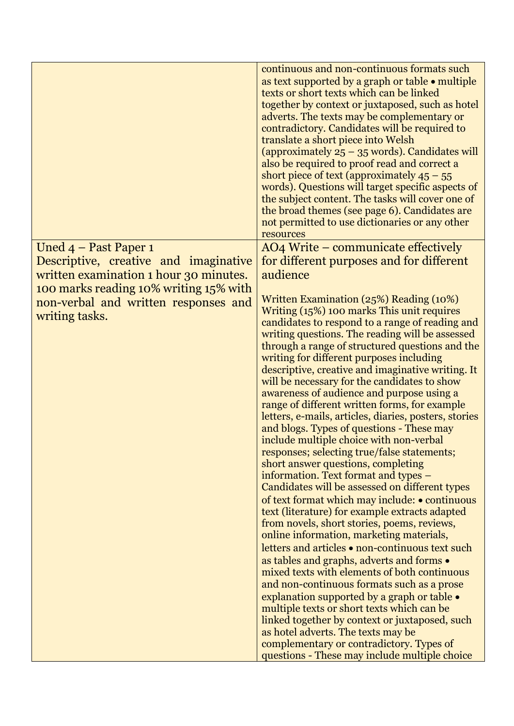## Uned 4 – Past Paper 1

Descriptive, creative and imaginative written examination 1 hour 30 minutes. 100 marks reading 10% writing 15% with non-verbal and written responses and writing tasks.

continuous and non-continuous formats such as text supported by a graph or table • multiple texts or short texts which can be linked together by context or juxtaposed, such as hotel adverts. The texts may be complementary or contradictory. Candidates will be required to translate a short piece into Welsh (approximately 25 – 35 words). Candidates will also be required to proof read and correct a short piece of text (approximately  $45 - 55$ ) words). Questions will target specific aspects of the subject content. The tasks will cover one of the broad themes (see page 6). Candidates are not permitted to use dictionaries or any other resources

AO4 Write – communicate effectively for different purposes and for different audience

Written Examination (25%) Reading (10%) Writing (15%) 100 marks This unit requires candidates to respond to a range of reading and writing questions. The reading will be assessed through a range of structured questions and the writing for different purposes including descriptive, creative and imaginative writing. It will be necessary for the candidates to show awareness of audience and purpose using a range of different written forms, for example letters, e-mails, articles, diaries, posters, stories and blogs. Types of questions - These may include multiple choice with non-verbal responses; selecting true/false statements; short answer questions, completing information. Text format and types – Candidates will be assessed on different types of text format which may include: • continuous text (literature) for example extracts adapted from novels, short stories, poems, reviews, online information, marketing materials, letters and articles • non-continuous text such as tables and graphs, adverts and forms • mixed texts with elements of both continuous and non-continuous formats such as a prose explanation supported by a graph or table • multiple texts or short texts which can be linked together by context or juxtaposed, such as hotel adverts. The texts may be complementary or contradictory. Types of questions - These may include multiple choice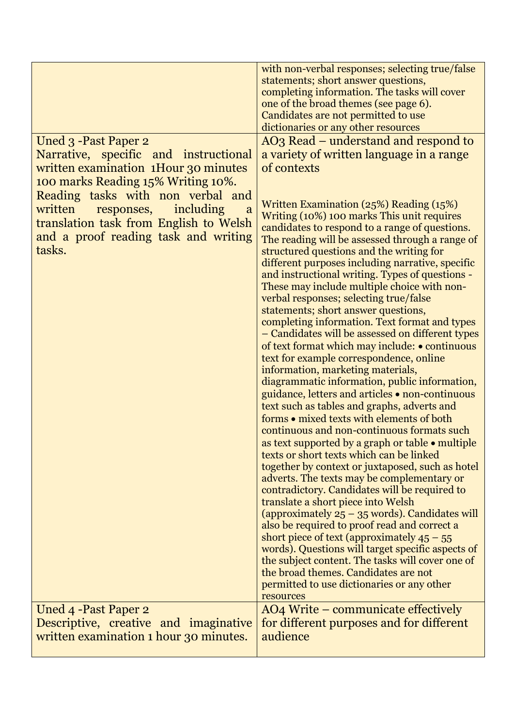## Uned 3 -Past Paper 2

Narrative, specific and instructional written examination 1Hour 30 minutes 100 marks Reading 15% Writing 10%. Reading tasks with non verbal and written responses, including a translation task from English to Welsh and a proof reading task and writing tasks.

Uned 4 -Past Paper 2 Descriptive, creative and imaginative written examination 1 hour 30 minutes.

with non-verbal responses; selecting true/false statements; short answer questions, completing information. The tasks will cover one of the broad themes (see page 6). Candidates are not permitted to use dictionaries or any other resources

AO3 Read – understand and respond to a variety of written language in a range of contexts

Written Examination (25%) Reading (15%) Writing (10%) 100 marks This unit requires candidates to respond to a range of questions. The reading will be assessed through a range of structured questions and the writing for different purposes including narrative, specific and instructional writing. Types of questions - These may include multiple choice with nonverbal responses; selecting true/false statements; short answer questions, completing information. Text format and types – Candidates will be assessed on different types of text format which may include: • continuous text for example correspondence, online information, marketing materials, diagrammatic information, public information, guidance, letters and articles • non-continuous text such as tables and graphs, adverts and forms • mixed texts with elements of both continuous and non-continuous formats such as text supported by a graph or table • multiple texts or short texts which can be linked together by context or juxtaposed, such as hotel adverts. The texts may be complementary or contradictory. Candidates will be required to translate a short piece into Welsh (approximately  $25 - 35$  words). Candidates will also be required to proof read and correct a short piece of text (approximately  $45 - 55$ ) words). Questions will target specific aspects of the subject content. The tasks will cover one of the broad themes. Candidates are not permitted to use dictionaries or any other resources AO4 Write – communicate effectively

for different purposes and for different audience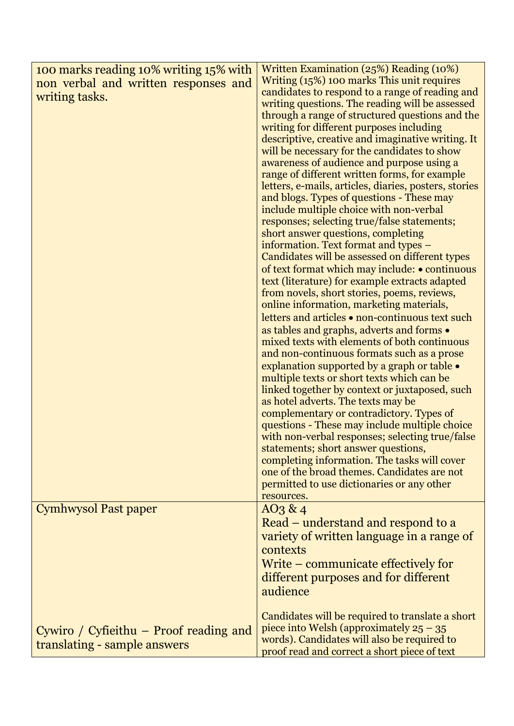| 100 marks reading 10% writing 15% with<br>non verbal and written responses and<br>writing tasks. | Written Examination (25%) Reading (10%)<br>Writing (15%) 100 marks This unit requires<br>candidates to respond to a range of reading and<br>writing questions. The reading will be assessed<br>through a range of structured questions and the<br>writing for different purposes including<br>descriptive, creative and imaginative writing. It<br>will be necessary for the candidates to show<br>awareness of audience and purpose using a<br>range of different written forms, for example<br>letters, e-mails, articles, diaries, posters, stories<br>and blogs. Types of questions - These may<br>include multiple choice with non-verbal<br>responses; selecting true/false statements;<br>short answer questions, completing<br>information. Text format and types -<br>Candidates will be assessed on different types<br>of text format which may include: • continuous<br>text (literature) for example extracts adapted<br>from novels, short stories, poems, reviews,<br>online information, marketing materials,<br>letters and articles • non-continuous text such<br>as tables and graphs, adverts and forms .<br>mixed texts with elements of both continuous<br>and non-continuous formats such as a prose<br>explanation supported by a graph or table $\bullet$<br>multiple texts or short texts which can be<br>linked together by context or juxtaposed, such<br>as hotel adverts. The texts may be<br>complementary or contradictory. Types of<br>questions - These may include multiple choice<br>with non-verbal responses; selecting true/false<br>statements; short answer questions,<br>completing information. The tasks will cover<br>one of the broad themes. Candidates are not<br>permitted to use dictionaries or any other |
|--------------------------------------------------------------------------------------------------|-------------------------------------------------------------------------------------------------------------------------------------------------------------------------------------------------------------------------------------------------------------------------------------------------------------------------------------------------------------------------------------------------------------------------------------------------------------------------------------------------------------------------------------------------------------------------------------------------------------------------------------------------------------------------------------------------------------------------------------------------------------------------------------------------------------------------------------------------------------------------------------------------------------------------------------------------------------------------------------------------------------------------------------------------------------------------------------------------------------------------------------------------------------------------------------------------------------------------------------------------------------------------------------------------------------------------------------------------------------------------------------------------------------------------------------------------------------------------------------------------------------------------------------------------------------------------------------------------------------------------------------------------------------------------------------------------------------------------------------------------------------|
| Cymhwysol Past paper                                                                             | resources.<br>$AO_3 \& 4$<br>Read – understand and respond to a                                                                                                                                                                                                                                                                                                                                                                                                                                                                                                                                                                                                                                                                                                                                                                                                                                                                                                                                                                                                                                                                                                                                                                                                                                                                                                                                                                                                                                                                                                                                                                                                                                                                                             |
|                                                                                                  | variety of written language in a range of<br>contexts<br>Write – communicate effectively for<br>different purposes and for different                                                                                                                                                                                                                                                                                                                                                                                                                                                                                                                                                                                                                                                                                                                                                                                                                                                                                                                                                                                                                                                                                                                                                                                                                                                                                                                                                                                                                                                                                                                                                                                                                        |
|                                                                                                  | audience                                                                                                                                                                                                                                                                                                                                                                                                                                                                                                                                                                                                                                                                                                                                                                                                                                                                                                                                                                                                                                                                                                                                                                                                                                                                                                                                                                                                                                                                                                                                                                                                                                                                                                                                                    |
| Cywiro / Cyfieithu $-$ Proof reading and<br>translating - sample answers                         | Candidates will be required to translate a short<br>piece into Welsh (approximately $25 - 35$<br>words). Candidates will also be required to<br>proof read and correct a short piece of text                                                                                                                                                                                                                                                                                                                                                                                                                                                                                                                                                                                                                                                                                                                                                                                                                                                                                                                                                                                                                                                                                                                                                                                                                                                                                                                                                                                                                                                                                                                                                                |